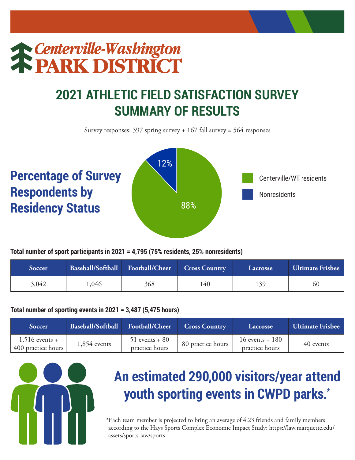# **The Centerville-Washington**

### **2021 ATHLETIC FIELD SATISFACTION SURVEY SUMMARY OF RESULTS**

Survey responses: 397 spring survey + 167 fall survey = 564 responses



**Total number of sport participants in 2021 = 4,795 (75% residents, 25% nonresidents)**

| Soccer | Baseball/Softball Football/Cheer |     | <b>Cross Country</b> | Lacrosse | Ultimate Frisbee |
|--------|----------------------------------|-----|----------------------|----------|------------------|
| 3,042  | .046                             | 368 | 140                  | 139      | 60               |

#### **Total number of sporting events in 2021 = 3,487 (5,475 hours)**

| <b>Soccer</b>                          | Baseball/Softball | Football/Cheer                     | <b>Cross Country</b> | <b>Lacrosse</b>                       | <b>Ultimate Frisbee</b> |
|----------------------------------------|-------------------|------------------------------------|----------------------|---------------------------------------|-------------------------|
| $1,516$ events +<br>400 practice hours | $1,854$ events    | $51$ events + 80<br>practice hours | 80 practice hours    | $16$ events + $180$<br>practice hours | 40 events               |



## **An estimated 290,000 visitors/year attend youth sporting events in CWPD parks.\***

\*Each team member is projected to bring an average of 4.23 friends and family members according to the Hays Sports Complex Economic Impact Study: https://law.marquette.edu/ assets/sports-law/sports